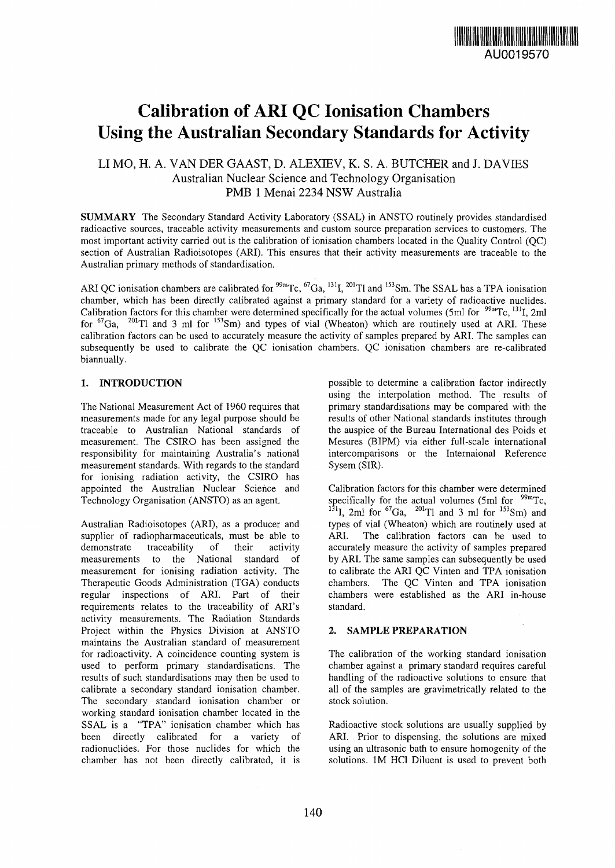

# Calibration of ARI QC Ionisation Chambers Using the Australian Secondary Standards for Activity

## LI MO, H. A. VAN DER GAAST, D. ALEXIEV, K. S. A. BUTCHER and J. DAVIES Australian Nuclear Science and Technology Organisation PMB 1 Menai 2234 NSW Australia

**SUMMARY** The Secondary Standard Activity Laboratory (SSAL) in ANSTO routinely provides standardised radioactive sources, traceable activity measurements and custom source preparation services to customers. The most important activity carried out is the calibration of ionisation chambers located in the Quality Control (QC) section of Australian Radioisotopes (ARI). This ensures that their activity measurements are traceable to the Australian primary methods of standardisation.

ARI QC ionisation chambers are calibrated for  $^{99m}$ Tc,  $^{67}$ Ga,  $^{131}$ ,  $^{201}$ Tl and  $^{153}$ Sm. The SSAL has a TPA ionisatio chamber, which has been directly calibrated against a primary standard for a variety of radioactive nuclides. Calibration factors for this chamber were determined specifically for the actual volumes (5ml for  $99m$ Tc,  $131$ , 2m for  ${}^{67}Ga$ ,  ${}^{201}Tl$  and 3 ml for  ${}^{153}Sm$ ) and types of vial (Wheaton) which are routinely used at ARI. These calibration factors can be used to accurately measure the activity of samples prepared by ARI. The samples can subsequently be used to calibrate the QC ionisation chambers. QC ionisation chambers are re-calibrated biannually.

### **1. INTRODUCTION**

The National Measurement Act of 1960 requires that measurements made for any legal purpose should be traceable to Australian National standards of measurement. The CSIRO has been assigned the responsibility for maintaining Australia's national measurement standards. With regards to the standard for ionising radiation activity, the CSIRO has appointed the Australian Nuclear Science and Technology Organisation (ANSTO) as an agent.

Australian Radioisotopes (ARI), as a producer and supplier of radiopharmaceuticals, must be able to demonstrate traceability of their activity measurements to the National standard of measurement for ionising radiation activity. The Therapeutic Goods Administration (TGA) conducts regular inspections of ARI. Part of their requirements relates to the traceability of ARI's activity measurements. The Radiation Standards Project within the Physics Division at ANSTO maintains the Australian standard of measurement for radioactivity. A coincidence counting system is used to perform primary standardisations. The results of such standardisations may then be used to calibrate a secondary standard ionisation chamber. The secondary standard ionisation chamber or working standard ionisation chamber located in the SSAL is a "TPA" ionisation chamber which has been directly calibrated for a variety of radionuclides. For those nuclides for which the chamber has not been directly calibrated, it is possible to determine a calibration factor indirectly using the interpolation method. The results of primary standardisations may be compared with the results of other National standards institutes through the auspice of the Bureau International des Poids et Mesures (BIPM) via either full-scale international intercomparisons or the Internaional Reference Sysem (SIR).

Calibration factors for this chamber were determined specifically for the actual volumes (5ml for  $99m$ Tc,  $^{131}$ I, 2ml for  $^{67}$ Ga,  $^{201}$ Tl and 3 ml for  $^{153}$ Sm) and types of vial (Wheaton) which are routinely used at ARI. The calibration factors can be used to accurately measure the activity of samples prepared by ARI. The same samples can subsequently be used to calibrate the ARI QC Vinten and TPA ionisation chambers. The QC Vinten and TPA ionisation chambers were established as the ARI in-house standard.

#### **2. SAMPLE PREPARATION**

The calibration of the working standard ionisation chamber against a primary standard requires careful handling of the radioactive solutions to ensure that all of the samples are gravimetrically related to the stock solution.

Radioactive stock solutions are usually supplied by ARI. Prior to dispensing, the solutions are mixed using an ultrasonic bath to ensure homogenity of the solutions. 1M HC1 Diluent is used to prevent both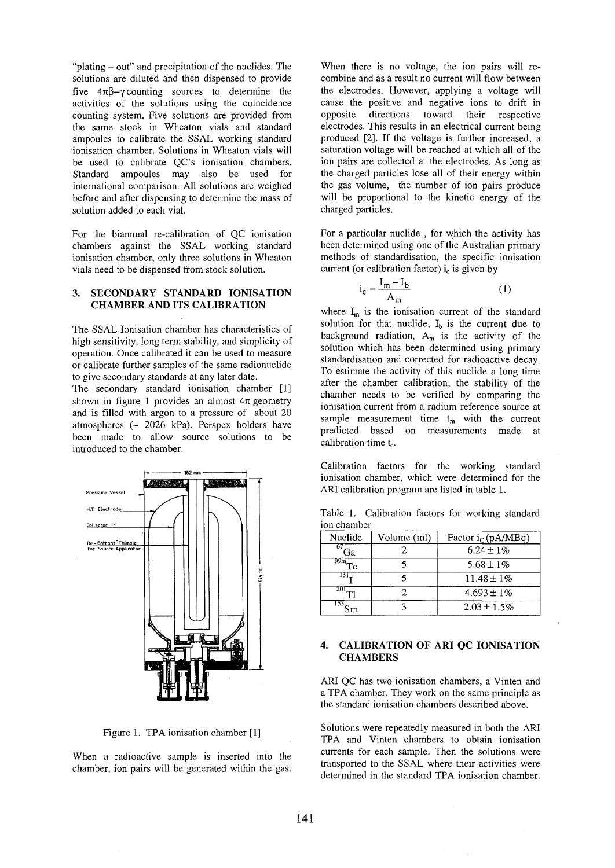"plating - out" and precipitation of the nuclides. The solutions are diluted and then dispensed to provide five *4n\$-y* counting sources to determine the activities of the solutions using the coincidence counting system. Five solutions are provided from the same stock in Wheaton vials and standard ampoules to calibrate the SSAL working standard ionisation chamber. Solutions in Wheaton vials will be used to calibrate QC's ionisation chambers. Standard ampoules may also be used for international comparison. All solutions are weighed before and after dispensing to determine the mass of solution added to each vial.

For the biannual re-calibration of QC ionisation chambers against the SSAL working standard ionisation chamber, only three solutions in Wheaton vials need to be dispensed from stock solution.

#### **3. SECONDARY STANDARD IONISATION CHAMBER AND ITS CALIBRATION**

The SSAL Ionisation chamber has characteristics of high sensitivity, long term stability, and simplicity of operation. Once calibrated it can be used to measure or calibrate further samples of the same radionuclide to give secondary standards at any later date.

The secondary standard ionisation chamber [1] shown in figure 1 provides an almost *4n* geometry and is filled with argon to a pressure of about 20 atmospheres (~ 2026 kPa). Perspex holders have been made to allow source solutions to be introduced to the chamber.



Figure 1. TPA ionisation chamber [1]

When a radioactive sample is inserted into the chamber, ion pairs will be generated within the gas.

When there is no voltage, the ion pairs will recombine and as a result no current will flow between the electrodes. However, applying a voltage will cause the positive and negative ions to drift in opposite directions toward their respective electrodes. This results in an electrical current being produced [2]. If the voltage is further increased, a saturation voltage will be reached at which all of the ion pairs are collected at the electrodes. As long as the charged particles lose all of their energy within the gas volume, the number of ion pairs produce will be proportional to the kinetic energy of the charged particles.

For a particular nuclide , for which the activity has been determined using one of the Australian primary methods of standardisation, the specific ionisation current (or calibration factor)  $i_c$  is given by

$$
i_c = \frac{I_m - I_b}{A_m} \tag{1}
$$

where  $I_m$  is the ionisation current of the standard solution for that nuclide,  $I_b$  is the current due to background radiation,  $A_m$  is the activity of the solution which has been determined using primary standardisation and corrected for radioactive decay. To estimate the activity of this nuclide a long time after the chamber calibration, the stability of the chamber needs to be verified by comparing the ionisation current from a radium reference source at sample measurement time  $t_m$  with the current predicted based on measurements made at calibration time  $t_c$ .

Calibration factors for the working standard ionisation chamber, which were determined for the ARI calibration program are listed in table 1.

Table 1. Calibration factors for working standard ion chamber

| Nuclide                      | Volume (ml) | Factor $i_C$ (pA/MBq) |  |
|------------------------------|-------------|-----------------------|--|
| -67 -<br>Ga                  |             | $6.24 \pm 1\%$        |  |
| $\overline{^{99m}}_{\rm Tc}$ |             | 5.68 ± 1%             |  |
|                              |             | $11.48 \pm 1\%$       |  |
| 201                          |             | $4.693 \pm 1\%$       |  |
| 1537                         |             | $2.03 \pm 1.5\%$      |  |

#### 4. CALIBRATION OF ARI QC IONISATION **CHAMBERS**

ARI QC has two ionisation chambers, a Vinten and a TPA chamber. They work on the same principle as the standard ionisation chambers described above.

Solutions were repeatedly measured in both the ARI TPA and Vinten chambers to obtain ionisation currents for each sample. Then the solutions were transported to the SSAL where their activities were determined in the standard TPA ionisation chamber.